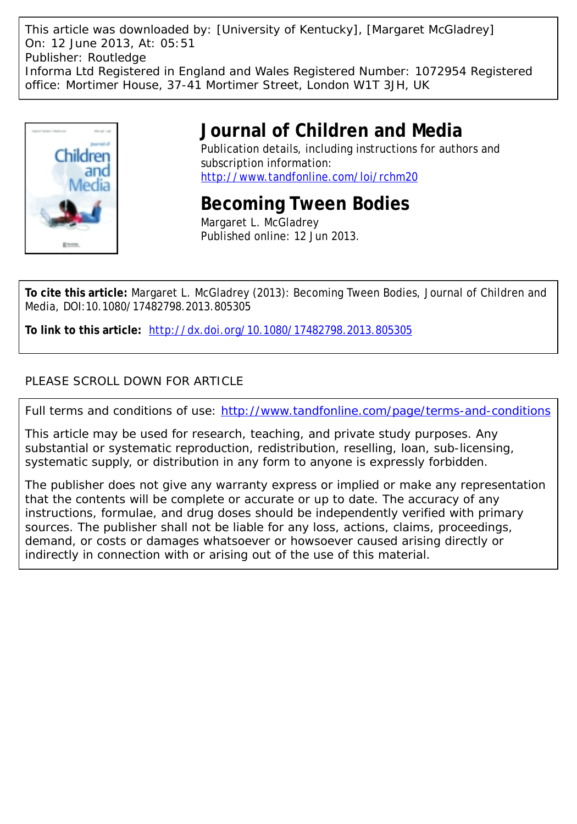This article was downloaded by: [University of Kentucky], [Margaret McGladrey] On: 12 June 2013, At: 05:51 Publisher: Routledge Informa Ltd Registered in England and Wales Registered Number: 1072954 Registered office: Mortimer House, 37-41 Mortimer Street, London W1T 3JH, UK



## **Journal of Children and Media**

Publication details, including instructions for authors and subscription information: <http://www.tandfonline.com/loi/rchm20>

**Becoming Tween Bodies**

Margaret L. McGladrey Published online: 12 Jun 2013.

**To cite this article:** Margaret L. McGladrey (2013): Becoming Tween Bodies, Journal of Children and Media, DOI:10.1080/17482798.2013.805305

**To link to this article:** <http://dx.doi.org/10.1080/17482798.2013.805305>

## PLEASE SCROLL DOWN FOR ARTICLE

Full terms and conditions of use:<http://www.tandfonline.com/page/terms-and-conditions>

This article may be used for research, teaching, and private study purposes. Any substantial or systematic reproduction, redistribution, reselling, loan, sub-licensing, systematic supply, or distribution in any form to anyone is expressly forbidden.

The publisher does not give any warranty express or implied or make any representation that the contents will be complete or accurate or up to date. The accuracy of any instructions, formulae, and drug doses should be independently verified with primary sources. The publisher shall not be liable for any loss, actions, claims, proceedings, demand, or costs or damages whatsoever or howsoever caused arising directly or indirectly in connection with or arising out of the use of this material.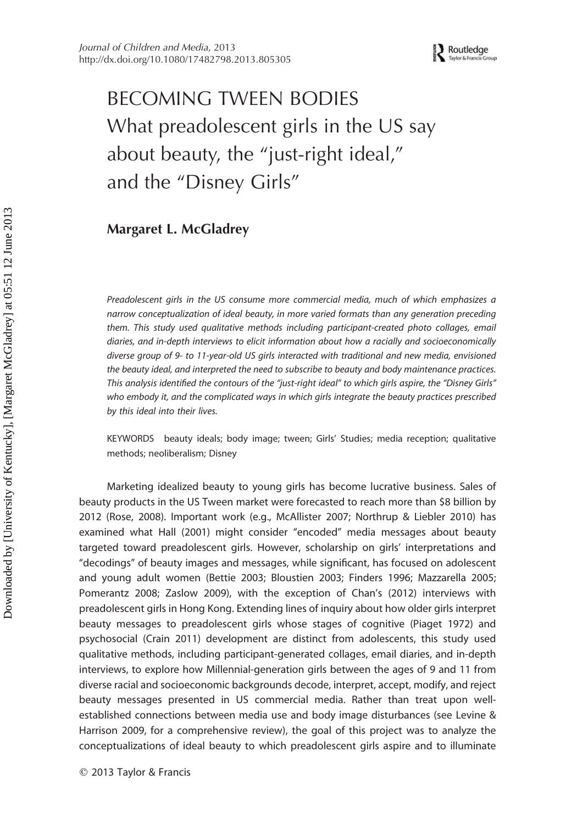

# BECOMING TWEEN BODIES What preadolescent girls in the US say about beauty, the "just-right ideal," and the "Disney Girls"

Margaret L. McGladrey

Preadolescent girls in the US consume more commercial media, much of which emphasizes a narrow conceptualization of ideal beauty, in more varied formats than any generation preceding them. This study used qualitative methods including participant-created photo collages, email diaries, and in-depth interviews to elicit information about how a racially and socioeconomically diverse group of 9- to 11-year-old US girls interacted with traditional and new media, envisioned the beauty ideal, and interpreted the need to subscribe to beauty and body maintenance practices. This analysis identified the contours of the "just-right ideal" to which girls aspire, the "Disney Girls" who embody it, and the complicated ways in which girls integrate the beauty practices prescribed by this ideal into their lives.

KEYWORDS beauty ideals; body image; tween; Girls' Studies; media reception; qualitative methods; neoliberalism; Disney

Marketing idealized beauty to young girls has become lucrative business. Sales of beauty products in the US Tween market were forecasted to reach more than \$8 billion by 2012 (Rose, 2008). Important work (e.g., McAllister 2007; Northrup & Liebler 2010) has examined what Hall (2001) might consider "encoded" media messages about beauty targeted toward preadolescent girls. However, scholarship on girls' interpretations and "decodings" of beauty images and messages, while significant, has focused on adolescent and young adult women (Bettie 2003; Bloustien 2003; Finders 1996; Mazzarella 2005; Pomerantz 2008; Zaslow 2009), with the exception of Chan's (2012) interviews with preadolescent girls in Hong Kong. Extending lines of inquiry about how older girls interpret beauty messages to preadolescent girls whose stages of cognitive (Piaget 1972) and psychosocial (Crain 2011) development are distinct from adolescents, this study used qualitative methods, including participant-generated collages, email diaries, and in-depth interviews, to explore how Millennial-generation girls between the ages of 9 and 11 from diverse racial and socioeconomic backgrounds decode, interpret, accept, modify, and reject beauty messages presented in US commercial media. Rather than treat upon wellestablished connections between media use and body image disturbances (see Levine & Harrison 2009, for a comprehensive review), the goal of this project was to analyze the conceptualizations of ideal beauty to which preadolescent girls aspire and to illuminate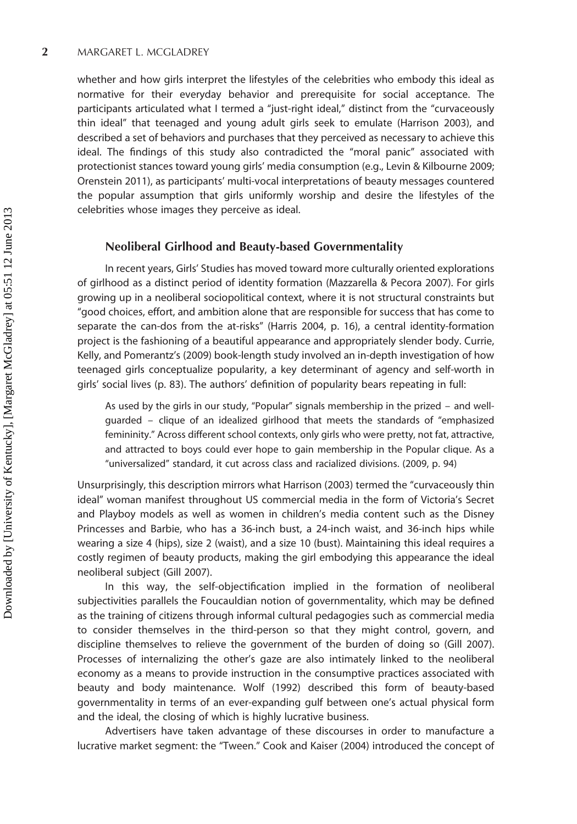whether and how girls interpret the lifestyles of the celebrities who embody this ideal as normative for their everyday behavior and prerequisite for social acceptance. The participants articulated what I termed a "just-right ideal," distinct from the "curvaceously thin ideal" that teenaged and young adult girls seek to emulate (Harrison 2003), and described a set of behaviors and purchases that they perceived as necessary to achieve this ideal. The findings of this study also contradicted the "moral panic" associated with protectionist stances toward young girls' media consumption (e.g., Levin & Kilbourne 2009; Orenstein 2011), as participants' multi-vocal interpretations of beauty messages countered the popular assumption that girls uniformly worship and desire the lifestyles of the celebrities whose images they perceive as ideal.

#### Neoliberal Girlhood and Beauty-based Governmentality

In recent years, Girls' Studies has moved toward more culturally oriented explorations of girlhood as a distinct period of identity formation (Mazzarella & Pecora 2007). For girls growing up in a neoliberal sociopolitical context, where it is not structural constraints but "good choices, effort, and ambition alone that are responsible for success that has come to separate the can-dos from the at-risks" (Harris 2004, p. 16), a central identity-formation project is the fashioning of a beautiful appearance and appropriately slender body. Currie, Kelly, and Pomerantz's (2009) book-length study involved an in-depth investigation of how teenaged girls conceptualize popularity, a key determinant of agency and self-worth in girls' social lives (p. 83). The authors' definition of popularity bears repeating in full:

As used by the girls in our study, "Popular" signals membership in the prized – and wellguarded – clique of an idealized girlhood that meets the standards of "emphasized femininity." Across different school contexts, only girls who were pretty, not fat, attractive, and attracted to boys could ever hope to gain membership in the Popular clique. As a "universalized" standard, it cut across class and racialized divisions. (2009, p. 94)

Unsurprisingly, this description mirrors what Harrison (2003) termed the "curvaceously thin ideal" woman manifest throughout US commercial media in the form of Victoria's Secret and Playboy models as well as women in children's media content such as the Disney Princesses and Barbie, who has a 36-inch bust, a 24-inch waist, and 36-inch hips while wearing a size 4 (hips), size 2 (waist), and a size 10 (bust). Maintaining this ideal requires a costly regimen of beauty products, making the girl embodying this appearance the ideal neoliberal subject (Gill 2007).

In this way, the self-objectification implied in the formation of neoliberal subjectivities parallels the Foucauldian notion of governmentality, which may be defined as the training of citizens through informal cultural pedagogies such as commercial media to consider themselves in the third-person so that they might control, govern, and discipline themselves to relieve the government of the burden of doing so (Gill 2007). Processes of internalizing the other's gaze are also intimately linked to the neoliberal economy as a means to provide instruction in the consumptive practices associated with beauty and body maintenance. Wolf (1992) described this form of beauty-based governmentality in terms of an ever-expanding gulf between one's actual physical form and the ideal, the closing of which is highly lucrative business.

Advertisers have taken advantage of these discourses in order to manufacture a lucrative market segment: the "Tween." Cook and Kaiser (2004) introduced the concept of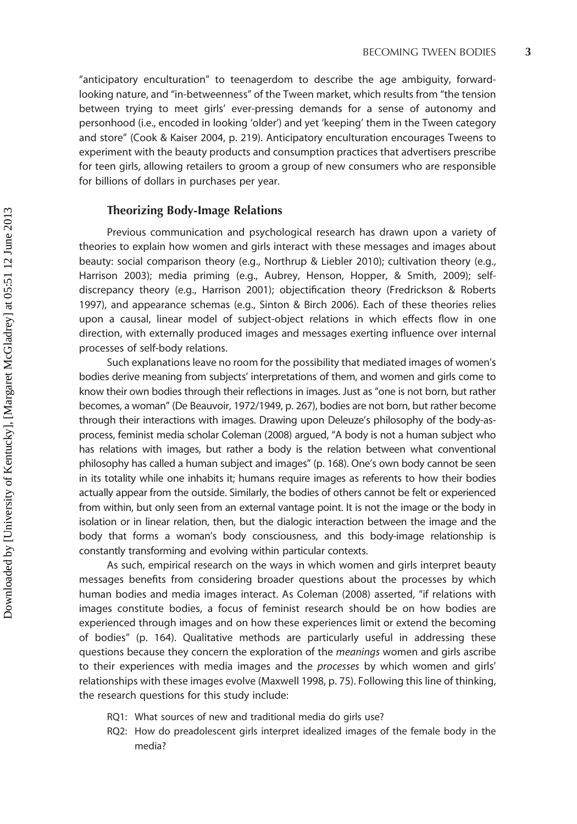"anticipatory enculturation" to teenagerdom to describe the age ambiguity, forwardlooking nature, and "in-betweenness" of the Tween market, which results from "the tension between trying to meet girls' ever-pressing demands for a sense of autonomy and personhood (i.e., encoded in looking 'older') and yet 'keeping' them in the Tween category and store" (Cook & Kaiser 2004, p. 219). Anticipatory enculturation encourages Tweens to experiment with the beauty products and consumption practices that advertisers prescribe for teen girls, allowing retailers to groom a group of new consumers who are responsible for billions of dollars in purchases per year.

## Theorizing Body-Image Relations

Previous communication and psychological research has drawn upon a variety of theories to explain how women and girls interact with these messages and images about beauty: social comparison theory (e.g., Northrup & Liebler 2010); cultivation theory (e.g., Harrison 2003); media priming (e.g., Aubrey, Henson, Hopper, & Smith, 2009); selfdiscrepancy theory (e.g., Harrison 2001); objectification theory (Fredrickson & Roberts 1997), and appearance schemas (e.g., Sinton & Birch 2006). Each of these theories relies upon a causal, linear model of subject-object relations in which effects flow in one direction, with externally produced images and messages exerting influence over internal processes of self-body relations.

Such explanations leave no room for the possibility that mediated images of women's bodies derive meaning from subjects' interpretations of them, and women and girls come to know their own bodies through their reflections in images. Just as "one is not born, but rather becomes, a woman" (De Beauvoir, 1972/1949, p. 267), bodies are not born, but rather become through their interactions with images. Drawing upon Deleuze's philosophy of the body-asprocess, feminist media scholar Coleman (2008) argued, "A body is not a human subject who has relations with images, but rather a body is the relation between what conventional philosophy has called a human subject and images" (p. 168). One's own body cannot be seen in its totality while one inhabits it; humans require images as referents to how their bodies actually appear from the outside. Similarly, the bodies of others cannot be felt or experienced from within, but only seen from an external vantage point. It is not the image or the body in isolation or in linear relation, then, but the dialogic interaction between the image and the body that forms a woman's body consciousness, and this body-image relationship is constantly transforming and evolving within particular contexts.

As such, empirical research on the ways in which women and girls interpret beauty messages benefits from considering broader questions about the processes by which human bodies and media images interact. As Coleman (2008) asserted, "if relations with images constitute bodies, a focus of feminist research should be on how bodies are experienced through images and on how these experiences limit or extend the becoming of bodies" (p. 164). Qualitative methods are particularly useful in addressing these questions because they concern the exploration of the meanings women and girls ascribe to their experiences with media images and the *processes* by which women and girls' relationships with these images evolve (Maxwell 1998, p. 75). Following this line of thinking, the research questions for this study include:

- RQ1: What sources of new and traditional media do girls use?
- RQ2: How do preadolescent girls interpret idealized images of the female body in the media?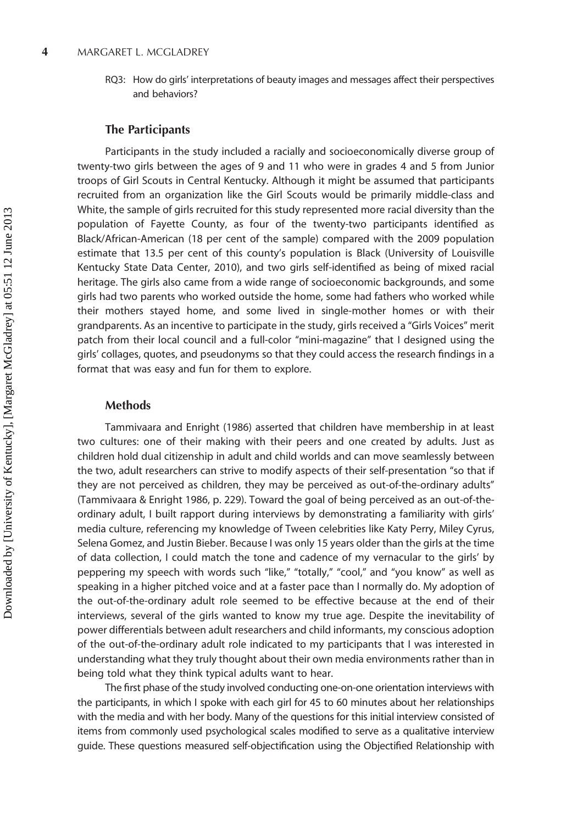RQ3: How do girls' interpretations of beauty images and messages affect their perspectives and behaviors?

#### The Participants

Participants in the study included a racially and socioeconomically diverse group of twenty-two girls between the ages of 9 and 11 who were in grades 4 and 5 from Junior troops of Girl Scouts in Central Kentucky. Although it might be assumed that participants recruited from an organization like the Girl Scouts would be primarily middle-class and White, the sample of girls recruited for this study represented more racial diversity than the population of Fayette County, as four of the twenty-two participants identified as Black/African-American (18 per cent of the sample) compared with the 2009 population estimate that 13.5 per cent of this county's population is Black (University of Louisville Kentucky State Data Center, 2010), and two girls self-identified as being of mixed racial heritage. The girls also came from a wide range of socioeconomic backgrounds, and some girls had two parents who worked outside the home, some had fathers who worked while their mothers stayed home, and some lived in single-mother homes or with their grandparents. As an incentive to participate in the study, girls received a "Girls Voices" merit patch from their local council and a full-color "mini-magazine" that I designed using the girls' collages, quotes, and pseudonyms so that they could access the research findings in a format that was easy and fun for them to explore.

#### **Methods**

Tammivaara and Enright (1986) asserted that children have membership in at least two cultures: one of their making with their peers and one created by adults. Just as children hold dual citizenship in adult and child worlds and can move seamlessly between the two, adult researchers can strive to modify aspects of their self-presentation "so that if they are not perceived as children, they may be perceived as out-of-the-ordinary adults" (Tammivaara & Enright 1986, p. 229). Toward the goal of being perceived as an out-of-theordinary adult, I built rapport during interviews by demonstrating a familiarity with girls' media culture, referencing my knowledge of Tween celebrities like Katy Perry, Miley Cyrus, Selena Gomez, and Justin Bieber. Because I was only 15 years older than the girls at the time of data collection, I could match the tone and cadence of my vernacular to the girls' by peppering my speech with words such "like," "totally," "cool," and "you know" as well as speaking in a higher pitched voice and at a faster pace than I normally do. My adoption of the out-of-the-ordinary adult role seemed to be effective because at the end of their interviews, several of the girls wanted to know my true age. Despite the inevitability of power differentials between adult researchers and child informants, my conscious adoption of the out-of-the-ordinary adult role indicated to my participants that I was interested in understanding what they truly thought about their own media environments rather than in being told what they think typical adults want to hear.

The first phase of the study involved conducting one-on-one orientation interviews with the participants, in which I spoke with each girl for 45 to 60 minutes about her relationships with the media and with her body. Many of the questions for this initial interview consisted of items from commonly used psychological scales modified to serve as a qualitative interview guide. These questions measured self-objectification using the Objectified Relationship with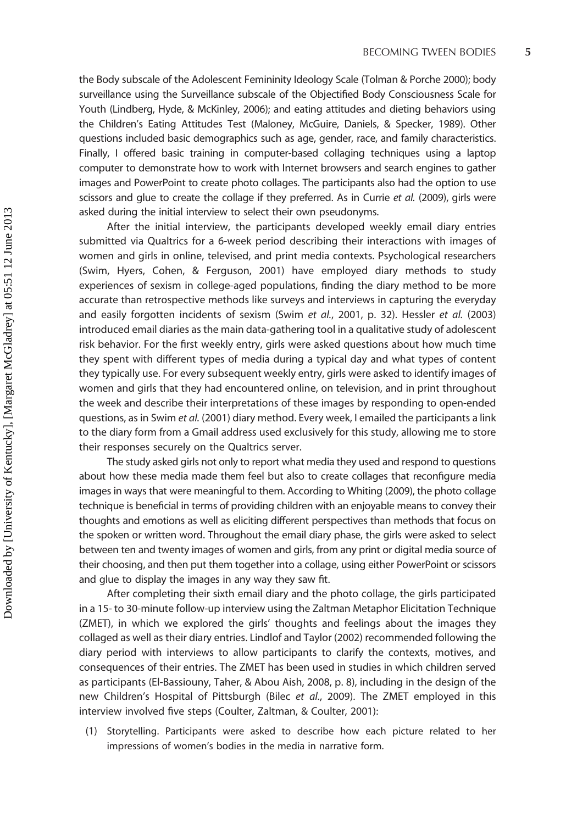the Body subscale of the Adolescent Femininity Ideology Scale (Tolman & Porche 2000); body surveillance using the Surveillance subscale of the Objectified Body Consciousness Scale for Youth (Lindberg, Hyde, & McKinley, 2006); and eating attitudes and dieting behaviors using the Children's Eating Attitudes Test (Maloney, McGuire, Daniels, & Specker, 1989). Other questions included basic demographics such as age, gender, race, and family characteristics. Finally, I offered basic training in computer-based collaging techniques using a laptop computer to demonstrate how to work with Internet browsers and search engines to gather images and PowerPoint to create photo collages. The participants also had the option to use scissors and glue to create the collage if they preferred. As in Currie et al. (2009), girls were asked during the initial interview to select their own pseudonyms.

After the initial interview, the participants developed weekly email diary entries submitted via Qualtrics for a 6-week period describing their interactions with images of women and girls in online, televised, and print media contexts. Psychological researchers (Swim, Hyers, Cohen, & Ferguson, 2001) have employed diary methods to study experiences of sexism in college-aged populations, finding the diary method to be more accurate than retrospective methods like surveys and interviews in capturing the everyday and easily forgotten incidents of sexism (Swim et al., 2001, p. 32). Hessler et al. (2003) introduced email diaries as the main data-gathering tool in a qualitative study of adolescent risk behavior. For the first weekly entry, girls were asked questions about how much time they spent with different types of media during a typical day and what types of content they typically use. For every subsequent weekly entry, girls were asked to identify images of women and girls that they had encountered online, on television, and in print throughout the week and describe their interpretations of these images by responding to open-ended questions, as in Swim et al. (2001) diary method. Every week, I emailed the participants a link to the diary form from a Gmail address used exclusively for this study, allowing me to store their responses securely on the Qualtrics server.

The study asked girls not only to report what media they used and respond to questions about how these media made them feel but also to create collages that reconfigure media images in ways that were meaningful to them. According to Whiting (2009), the photo collage technique is beneficial in terms of providing children with an enjoyable means to convey their thoughts and emotions as well as eliciting different perspectives than methods that focus on the spoken or written word. Throughout the email diary phase, the girls were asked to select between ten and twenty images of women and girls, from any print or digital media source of their choosing, and then put them together into a collage, using either PowerPoint or scissors and glue to display the images in any way they saw fit.

After completing their sixth email diary and the photo collage, the girls participated in a 15- to 30-minute follow-up interview using the Zaltman Metaphor Elicitation Technique (ZMET), in which we explored the girls' thoughts and feelings about the images they collaged as well as their diary entries. Lindlof and Taylor (2002) recommended following the diary period with interviews to allow participants to clarify the contexts, motives, and consequences of their entries. The ZMET has been used in studies in which children served as participants (El-Bassiouny, Taher, & Abou Aish, 2008, p. 8), including in the design of the new Children's Hospital of Pittsburgh (Bilec et al., 2009). The ZMET employed in this interview involved five steps (Coulter, Zaltman, & Coulter, 2001):

(1) Storytelling. Participants were asked to describe how each picture related to her impressions of women's bodies in the media in narrative form.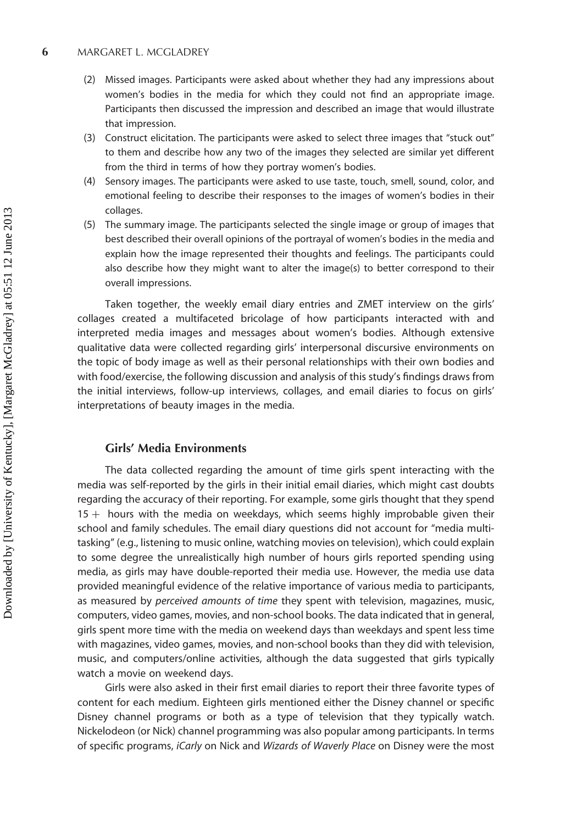- (2) Missed images. Participants were asked about whether they had any impressions about women's bodies in the media for which they could not find an appropriate image. Participants then discussed the impression and described an image that would illustrate that impression.
- (3) Construct elicitation. The participants were asked to select three images that "stuck out" to them and describe how any two of the images they selected are similar yet different from the third in terms of how they portray women's bodies.
- (4) Sensory images. The participants were asked to use taste, touch, smell, sound, color, and emotional feeling to describe their responses to the images of women's bodies in their collages.
- (5) The summary image. The participants selected the single image or group of images that best described their overall opinions of the portrayal of women's bodies in the media and explain how the image represented their thoughts and feelings. The participants could also describe how they might want to alter the image(s) to better correspond to their overall impressions.

Taken together, the weekly email diary entries and ZMET interview on the girls' collages created a multifaceted bricolage of how participants interacted with and interpreted media images and messages about women's bodies. Although extensive qualitative data were collected regarding girls' interpersonal discursive environments on the topic of body image as well as their personal relationships with their own bodies and with food/exercise, the following discussion and analysis of this study's findings draws from the initial interviews, follow-up interviews, collages, and email diaries to focus on girls' interpretations of beauty images in the media.

## Girls' Media Environments

The data collected regarding the amount of time girls spent interacting with the media was self-reported by the girls in their initial email diaries, which might cast doubts regarding the accuracy of their reporting. For example, some girls thought that they spend 15 *þ* hours with the media on weekdays, which seems highly improbable given their school and family schedules. The email diary questions did not account for "media multitasking" (e.g., listening to music online, watching movies on television), which could explain to some degree the unrealistically high number of hours girls reported spending using media, as girls may have double-reported their media use. However, the media use data provided meaningful evidence of the relative importance of various media to participants, as measured by perceived amounts of time they spent with television, magazines, music, computers, video games, movies, and non-school books. The data indicated that in general, girls spent more time with the media on weekend days than weekdays and spent less time with magazines, video games, movies, and non-school books than they did with television, music, and computers/online activities, although the data suggested that girls typically watch a movie on weekend days.

Girls were also asked in their first email diaries to report their three favorite types of content for each medium. Eighteen girls mentioned either the Disney channel or specific Disney channel programs or both as a type of television that they typically watch. Nickelodeon (or Nick) channel programming was also popular among participants. In terms of specific programs, iCarly on Nick and Wizards of Waverly Place on Disney were the most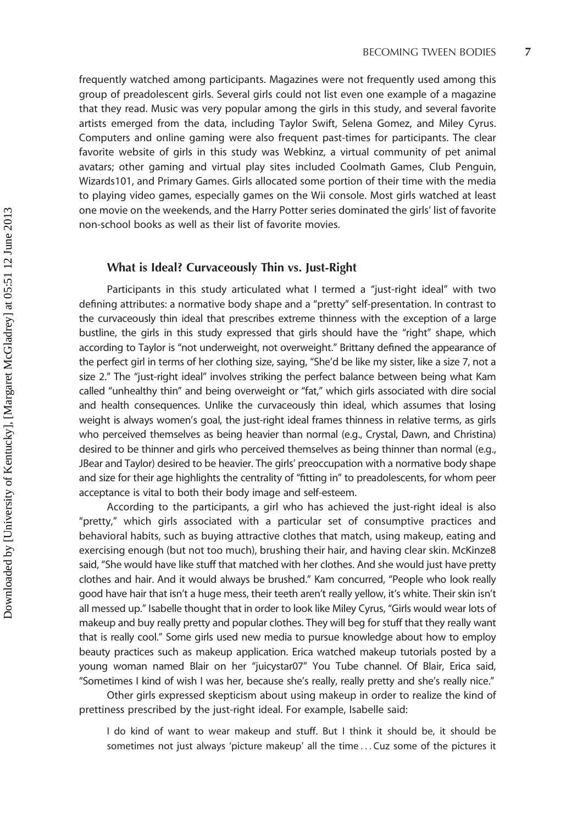frequently watched among participants. Magazines were not frequently used among this group of preadolescent girls. Several girls could not list even one example of a magazine that they read. Music was very popular among the girls in this study, and several favorite artists emerged from the data, including Taylor Swift, Selena Gomez, and Miley Cyrus. Computers and online gaming were also frequent past-times for participants. The clear favorite website of girls in this study was Webkinz, a virtual community of pet animal avatars; other gaming and virtual play sites included Coolmath Games, Club Penguin, Wizards101, and Primary Games. Girls allocated some portion of their time with the media to playing video games, especially games on the Wii console. Most girls watched at least one movie on the weekends, and the Harry Potter series dominated the girls' list of favorite non-school books as well as their list of favorite movies.

## What is Ideal? Curvaceously Thin vs. Just-Right

Participants in this study articulated what I termed a "just-right ideal" with two defining attributes: a normative body shape and a "pretty" self-presentation. In contrast to the curvaceously thin ideal that prescribes extreme thinness with the exception of a large bustline, the girls in this study expressed that girls should have the "right" shape, which according to Taylor is "not underweight, not overweight." Brittany defined the appearance of the perfect girl in terms of her clothing size, saying, "She'd be like my sister, like a size 7, not a size 2." The "just-right ideal" involves striking the perfect balance between being what Kam called "unhealthy thin" and being overweight or "fat," which girls associated with dire social and health consequences. Unlike the curvaceously thin ideal, which assumes that losing weight is always women's goal, the just-right ideal frames thinness in relative terms, as girls who perceived themselves as being heavier than normal (e.g., Crystal, Dawn, and Christina) desired to be thinner and girls who perceived themselves as being thinner than normal (e.g., JBear and Taylor) desired to be heavier. The girls' preoccupation with a normative body shape and size for their age highlights the centrality of "fitting in" to preadolescents, for whom peer acceptance is vital to both their body image and self-esteem.

According to the participants, a girl who has achieved the just-right ideal is also "pretty," which girls associated with a particular set of consumptive practices and behavioral habits, such as buying attractive clothes that match, using makeup, eating and exercising enough (but not too much), brushing their hair, and having clear skin. McKinze8 said, "She would have like stuff that matched with her clothes. And she would just have pretty clothes and hair. And it would always be brushed." Kam concurred, "People who look really good have hair that isn't a huge mess, their teeth aren't really yellow, it's white. Their skin isn't all messed up." Isabelle thought that in order to look like Miley Cyrus, "Girls would wear lots of makeup and buy really pretty and popular clothes. They will beg for stuff that they really want that is really cool." Some girls used new media to pursue knowledge about how to employ beauty practices such as makeup application. Erica watched makeup tutorials posted by a young woman named Blair on her "juicystar07" You Tube channel. Of Blair, Erica said, "Sometimes I kind of wish I was her, because she's really, really pretty and she's really nice."

Other girls expressed skepticism about using makeup in order to realize the kind of prettiness prescribed by the just-right ideal. For example, Isabelle said:

I do kind of want to wear makeup and stuff. But I think it should be, it should be sometimes not just always 'picture makeup' all the time ... Cuz some of the pictures it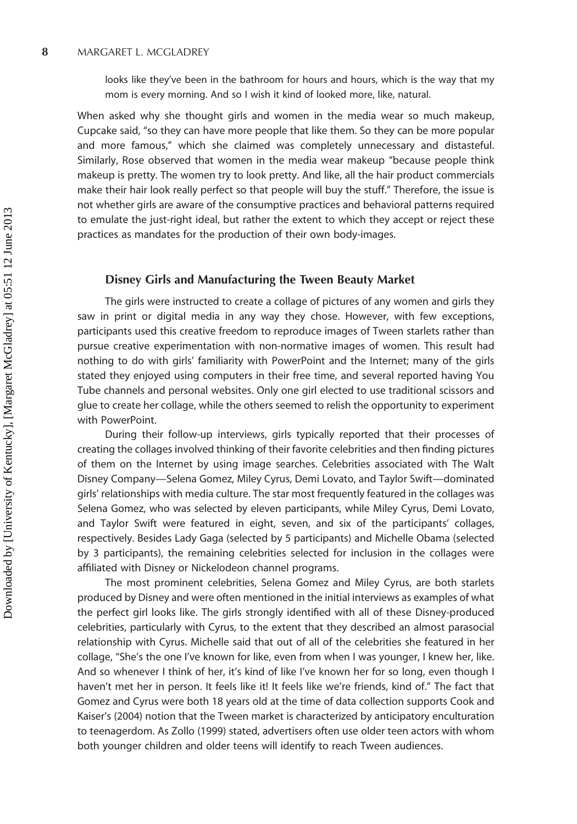looks like they've been in the bathroom for hours and hours, which is the way that my mom is every morning. And so I wish it kind of looked more, like, natural.

When asked why she thought girls and women in the media wear so much makeup, Cupcake said, "so they can have more people that like them. So they can be more popular and more famous," which she claimed was completely unnecessary and distasteful. Similarly, Rose observed that women in the media wear makeup "because people think makeup is pretty. The women try to look pretty. And like, all the hair product commercials make their hair look really perfect so that people will buy the stuff." Therefore, the issue is not whether girls are aware of the consumptive practices and behavioral patterns required to emulate the just-right ideal, but rather the extent to which they accept or reject these practices as mandates for the production of their own body-images.

#### Disney Girls and Manufacturing the Tween Beauty Market

The girls were instructed to create a collage of pictures of any women and girls they saw in print or digital media in any way they chose. However, with few exceptions, participants used this creative freedom to reproduce images of Tween starlets rather than pursue creative experimentation with non-normative images of women. This result had nothing to do with girls' familiarity with PowerPoint and the Internet; many of the girls stated they enjoyed using computers in their free time, and several reported having You Tube channels and personal websites. Only one girl elected to use traditional scissors and glue to create her collage, while the others seemed to relish the opportunity to experiment with PowerPoint.

During their follow-up interviews, girls typically reported that their processes of creating the collages involved thinking of their favorite celebrities and then finding pictures of them on the Internet by using image searches. Celebrities associated with The Walt Disney Company—Selena Gomez, Miley Cyrus, Demi Lovato, and Taylor Swift—dominated girls' relationships with media culture. The star most frequently featured in the collages was Selena Gomez, who was selected by eleven participants, while Miley Cyrus, Demi Lovato, and Taylor Swift were featured in eight, seven, and six of the participants' collages, respectively. Besides Lady Gaga (selected by 5 participants) and Michelle Obama (selected by 3 participants), the remaining celebrities selected for inclusion in the collages were affiliated with Disney or Nickelodeon channel programs.

The most prominent celebrities, Selena Gomez and Miley Cyrus, are both starlets produced by Disney and were often mentioned in the initial interviews as examples of what the perfect girl looks like. The girls strongly identified with all of these Disney-produced celebrities, particularly with Cyrus, to the extent that they described an almost parasocial relationship with Cyrus. Michelle said that out of all of the celebrities she featured in her collage, "She's the one I've known for like, even from when I was younger, I knew her, like. And so whenever I think of her, it's kind of like I've known her for so long, even though I haven't met her in person. It feels like it! It feels like we're friends, kind of." The fact that Gomez and Cyrus were both 18 years old at the time of data collection supports Cook and Kaiser's (2004) notion that the Tween market is characterized by anticipatory enculturation to teenagerdom. As Zollo (1999) stated, advertisers often use older teen actors with whom both younger children and older teens will identify to reach Tween audiences.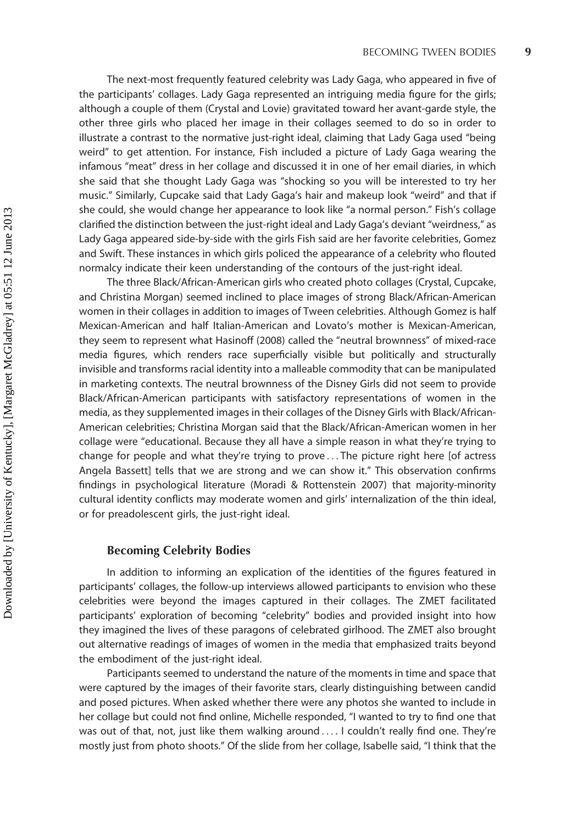The next-most frequently featured celebrity was Lady Gaga, who appeared in five of the participants' collages. Lady Gaga represented an intriguing media figure for the girls; although a couple of them (Crystal and Lovie) gravitated toward her avant-garde style, the other three girls who placed her image in their collages seemed to do so in order to illustrate a contrast to the normative just-right ideal, claiming that Lady Gaga used "being weird" to get attention. For instance, Fish included a picture of Lady Gaga wearing the infamous "meat" dress in her collage and discussed it in one of her email diaries, in which she said that she thought Lady Gaga was "shocking so you will be interested to try her music." Similarly, Cupcake said that Lady Gaga's hair and makeup look "weird" and that if she could, she would change her appearance to look like "a normal person." Fish's collage clarified the distinction between the just-right ideal and Lady Gaga's deviant "weirdness," as Lady Gaga appeared side-by-side with the girls Fish said are her favorite celebrities, Gomez and Swift. These instances in which girls policed the appearance of a celebrity who flouted normalcy indicate their keen understanding of the contours of the just-right ideal.

The three Black/African-American girls who created photo collages (Crystal, Cupcake, and Christina Morgan) seemed inclined to place images of strong Black/African-American women in their collages in addition to images of Tween celebrities. Although Gomez is half Mexican-American and half Italian-American and Lovato's mother is Mexican-American, they seem to represent what Hasinoff (2008) called the "neutral brownness" of mixed-race media figures, which renders race superficially visible but politically and structurally invisible and transforms racial identity into a malleable commodity that can be manipulated in marketing contexts. The neutral brownness of the Disney Girls did not seem to provide Black/African-American participants with satisfactory representations of women in the media, as they supplemented images in their collages of the Disney Girls with Black/African-American celebrities; Christina Morgan said that the Black/African-American women in her collage were "educational. Because they all have a simple reason in what they're trying to change for people and what they're trying to prove ... The picture right here [of actress Angela Bassett] tells that we are strong and we can show it." This observation confirms findings in psychological literature (Moradi & Rottenstein 2007) that majority-minority cultural identity conflicts may moderate women and girls' internalization of the thin ideal, or for preadolescent girls, the just-right ideal.

### Becoming Celebrity Bodies

In addition to informing an explication of the identities of the figures featured in participants' collages, the follow-up interviews allowed participants to envision who these celebrities were beyond the images captured in their collages. The ZMET facilitated participants' exploration of becoming "celebrity" bodies and provided insight into how they imagined the lives of these paragons of celebrated girlhood. The ZMET also brought out alternative readings of images of women in the media that emphasized traits beyond the embodiment of the just-right ideal.

Participants seemed to understand the nature of the moments in time and space that were captured by the images of their favorite stars, clearly distinguishing between candid and posed pictures. When asked whether there were any photos she wanted to include in her collage but could not find online, Michelle responded, "I wanted to try to find one that was out of that, not, just like them walking around .... I couldn't really find one. They're mostly just from photo shoots." Of the slide from her collage, Isabelle said, "I think that the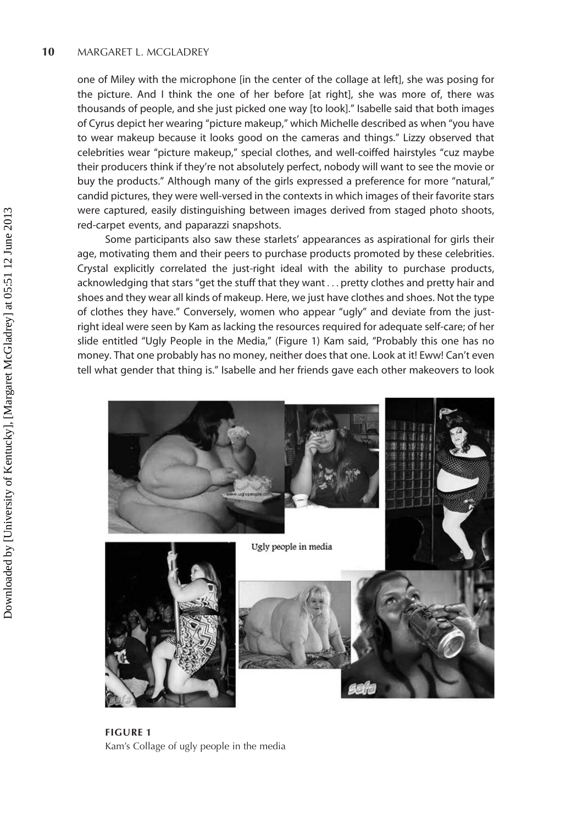one of Miley with the microphone [in the center of the collage at left], she was posing for the picture. And I think the one of her before [at right], she was more of, there was thousands of people, and she just picked one way [to look]." Isabelle said that both images of Cyrus depict her wearing "picture makeup," which Michelle described as when "you have to wear makeup because it looks good on the cameras and things." Lizzy observed that celebrities wear "picture makeup," special clothes, and well-coiffed hairstyles "cuz maybe their producers think if they're not absolutely perfect, nobody will want to see the movie or buy the products." Although many of the girls expressed a preference for more "natural," candid pictures, they were well-versed in the contexts in which images of their favorite stars were captured, easily distinguishing between images derived from staged photo shoots, red-carpet events, and paparazzi snapshots.

Some participants also saw these starlets' appearances as aspirational for girls their age, motivating them and their peers to purchase products promoted by these celebrities. Crystal explicitly correlated the just-right ideal with the ability to purchase products, acknowledging that stars "get the stuff that they want ... pretty clothes and pretty hair and shoes and they wear all kinds of makeup. Here, we just have clothes and shoes. Not the type of clothes they have." Conversely, women who appear "ugly" and deviate from the justright ideal were seen by Kam as lacking the resources required for adequate self-care; of her slide entitled "Ugly People in the Media," (Figure 1) Kam said, "Probably this one has no money. That one probably has no money, neither does that one. Look at it! Eww! Can't even tell what gender that thing is." Isabelle and her friends gave each other makeovers to look



FIGURE 1 Kam's Collage of ugly people in the media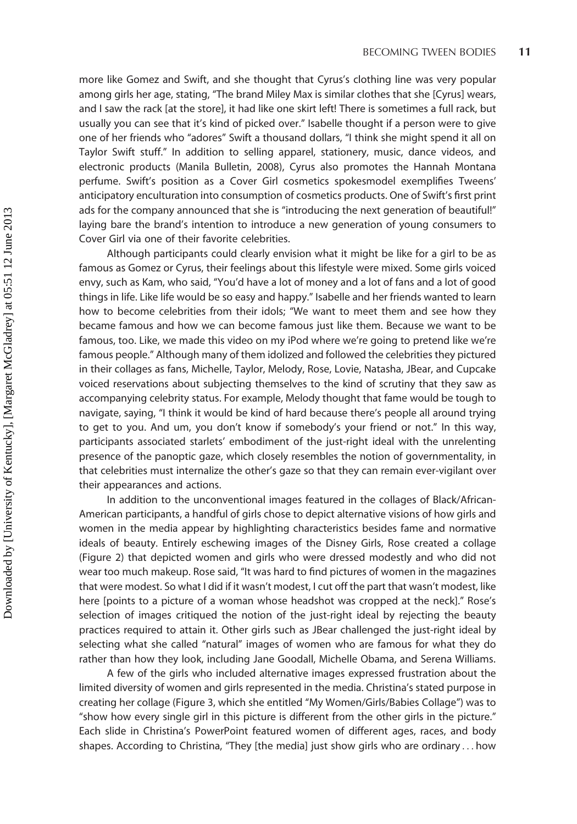more like Gomez and Swift, and she thought that Cyrus's clothing line was very popular among girls her age, stating, "The brand Miley Max is similar clothes that she [Cyrus] wears, and I saw the rack [at the store], it had like one skirt left! There is sometimes a full rack, but usually you can see that it's kind of picked over." Isabelle thought if a person were to give one of her friends who "adores" Swift a thousand dollars, "I think she might spend it all on Taylor Swift stuff." In addition to selling apparel, stationery, music, dance videos, and electronic products (Manila Bulletin, 2008), Cyrus also promotes the Hannah Montana perfume. Swift's position as a Cover Girl cosmetics spokesmodel exemplifies Tweens' anticipatory enculturation into consumption of cosmetics products. One of Swift's first print ads for the company announced that she is "introducing the next generation of beautiful!" laying bare the brand's intention to introduce a new generation of young consumers to Cover Girl via one of their favorite celebrities.

Although participants could clearly envision what it might be like for a girl to be as famous as Gomez or Cyrus, their feelings about this lifestyle were mixed. Some girls voiced envy, such as Kam, who said, "You'd have a lot of money and a lot of fans and a lot of good things in life. Like life would be so easy and happy." Isabelle and her friends wanted to learn how to become celebrities from their idols; "We want to meet them and see how they became famous and how we can become famous just like them. Because we want to be famous, too. Like, we made this video on my iPod where we're going to pretend like we're famous people." Although many of them idolized and followed the celebrities they pictured in their collages as fans, Michelle, Taylor, Melody, Rose, Lovie, Natasha, JBear, and Cupcake voiced reservations about subjecting themselves to the kind of scrutiny that they saw as accompanying celebrity status. For example, Melody thought that fame would be tough to navigate, saying, "I think it would be kind of hard because there's people all around trying to get to you. And um, you don't know if somebody's your friend or not." In this way, participants associated starlets' embodiment of the just-right ideal with the unrelenting presence of the panoptic gaze, which closely resembles the notion of governmentality, in that celebrities must internalize the other's gaze so that they can remain ever-vigilant over their appearances and actions.

In addition to the unconventional images featured in the collages of Black/African-American participants, a handful of girls chose to depict alternative visions of how girls and women in the media appear by highlighting characteristics besides fame and normative ideals of beauty. Entirely eschewing images of the Disney Girls, Rose created a collage (Figure 2) that depicted women and girls who were dressed modestly and who did not wear too much makeup. Rose said, "It was hard to find pictures of women in the magazines that were modest. So what I did if it wasn't modest, I cut off the part that wasn't modest, like here [points to a picture of a woman whose headshot was cropped at the neck]." Rose's selection of images critiqued the notion of the just-right ideal by rejecting the beauty practices required to attain it. Other girls such as JBear challenged the just-right ideal by selecting what she called "natural" images of women who are famous for what they do rather than how they look, including Jane Goodall, Michelle Obama, and Serena Williams.

A few of the girls who included alternative images expressed frustration about the limited diversity of women and girls represented in the media. Christina's stated purpose in creating her collage (Figure 3, which she entitled "My Women/Girls/Babies Collage") was to "show how every single girl in this picture is different from the other girls in the picture." Each slide in Christina's PowerPoint featured women of different ages, races, and body shapes. According to Christina, "They [the media] just show girls who are ordinary ... how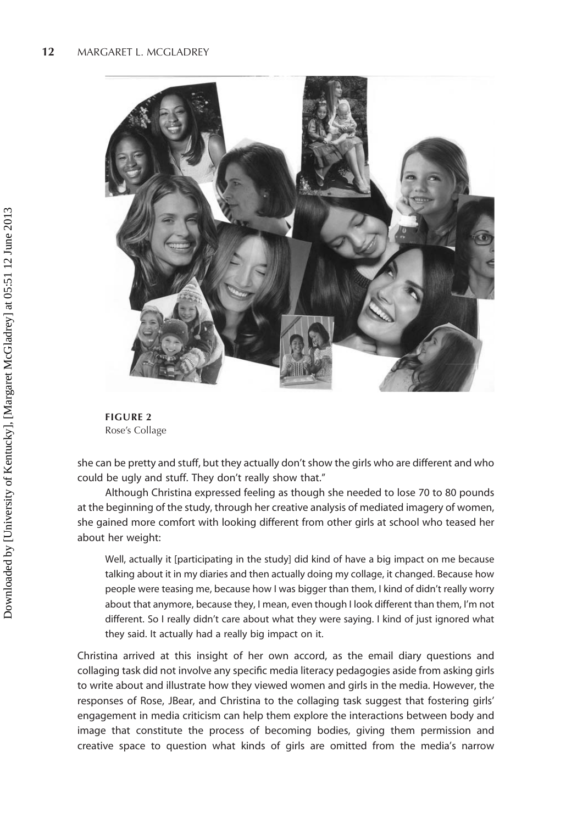

FIGURE 2 Rose's Collage

she can be pretty and stuff, but they actually don't show the girls who are different and who could be ugly and stuff. They don't really show that."

Although Christina expressed feeling as though she needed to lose 70 to 80 pounds at the beginning of the study, through her creative analysis of mediated imagery of women, she gained more comfort with looking different from other girls at school who teased her about her weight:

Well, actually it [participating in the study] did kind of have a big impact on me because talking about it in my diaries and then actually doing my collage, it changed. Because how people were teasing me, because how I was bigger than them, I kind of didn't really worry about that anymore, because they, I mean, even though I look different than them, I'm not different. So I really didn't care about what they were saying. I kind of just ignored what they said. It actually had a really big impact on it.

Christina arrived at this insight of her own accord, as the email diary questions and collaging task did not involve any specific media literacy pedagogies aside from asking girls to write about and illustrate how they viewed women and girls in the media. However, the responses of Rose, JBear, and Christina to the collaging task suggest that fostering girls' engagement in media criticism can help them explore the interactions between body and image that constitute the process of becoming bodies, giving them permission and creative space to question what kinds of girls are omitted from the media's narrow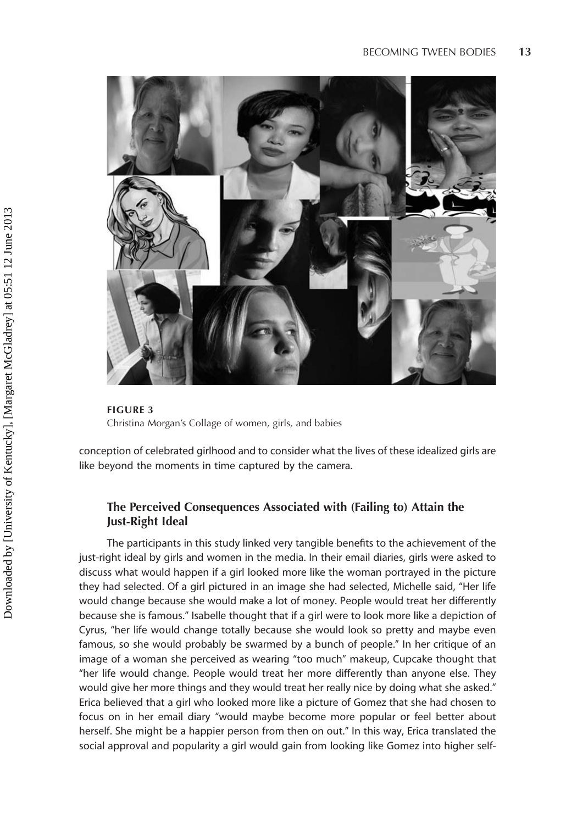

FIGURE 3 Christina Morgan's Collage of women, girls, and babies

conception of celebrated girlhood and to consider what the lives of these idealized girls are like beyond the moments in time captured by the camera.

## The Perceived Consequences Associated with (Failing to) Attain the Just-Right Ideal

The participants in this study linked very tangible benefits to the achievement of the just-right ideal by girls and women in the media. In their email diaries, girls were asked to discuss what would happen if a girl looked more like the woman portrayed in the picture they had selected. Of a girl pictured in an image she had selected, Michelle said, "Her life would change because she would make a lot of money. People would treat her differently because she is famous." Isabelle thought that if a girl were to look more like a depiction of Cyrus, "her life would change totally because she would look so pretty and maybe even famous, so she would probably be swarmed by a bunch of people." In her critique of an image of a woman she perceived as wearing "too much" makeup, Cupcake thought that "her life would change. People would treat her more differently than anyone else. They would give her more things and they would treat her really nice by doing what she asked." Erica believed that a girl who looked more like a picture of Gomez that she had chosen to focus on in her email diary "would maybe become more popular or feel better about herself. She might be a happier person from then on out." In this way, Erica translated the social approval and popularity a girl would gain from looking like Gomez into higher self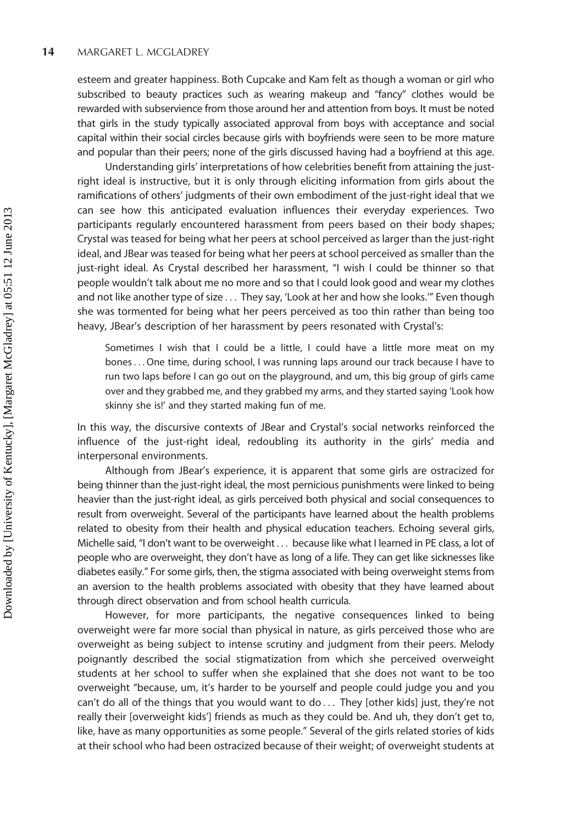esteem and greater happiness. Both Cupcake and Kam felt as though a woman or girl who subscribed to beauty practices such as wearing makeup and "fancy" clothes would be rewarded with subservience from those around her and attention from boys. It must be noted that girls in the study typically associated approval from boys with acceptance and social capital within their social circles because girls with boyfriends were seen to be more mature and popular than their peers; none of the girls discussed having had a boyfriend at this age.

Understanding girls' interpretations of how celebrities benefit from attaining the justright ideal is instructive, but it is only through eliciting information from girls about the ramifications of others' judgments of their own embodiment of the just-right ideal that we can see how this anticipated evaluation influences their everyday experiences. Two participants regularly encountered harassment from peers based on their body shapes; Crystal was teased for being what her peers at school perceived as larger than the just-right ideal, and JBear was teased for being what her peers at school perceived as smaller than the just-right ideal. As Crystal described her harassment, "I wish I could be thinner so that people wouldn't talk about me no more and so that I could look good and wear my clothes and not like another type of size ... They say, 'Look at her and how she looks.'" Even though she was tormented for being what her peers perceived as too thin rather than being too heavy, JBear's description of her harassment by peers resonated with Crystal's:

Sometimes I wish that I could be a little, I could have a little more meat on my bones...One time, during school, I was running laps around our track because I have to run two laps before I can go out on the playground, and um, this big group of girls came over and they grabbed me, and they grabbed my arms, and they started saying 'Look how skinny she is!' and they started making fun of me.

In this way, the discursive contexts of JBear and Crystal's social networks reinforced the influence of the just-right ideal, redoubling its authority in the girls' media and interpersonal environments.

Although from JBear's experience, it is apparent that some girls are ostracized for being thinner than the just-right ideal, the most pernicious punishments were linked to being heavier than the just-right ideal, as girls perceived both physical and social consequences to result from overweight. Several of the participants have learned about the health problems related to obesity from their health and physical education teachers. Echoing several girls, Michelle said, "I don't want to be overweight... because like what I learned in PE class, a lot of people who are overweight, they don't have as long of a life. They can get like sicknesses like diabetes easily." For some girls, then, the stigma associated with being overweight stems from an aversion to the health problems associated with obesity that they have learned about through direct observation and from school health curricula.

However, for more participants, the negative consequences linked to being overweight were far more social than physical in nature, as girls perceived those who are overweight as being subject to intense scrutiny and judgment from their peers. Melody poignantly described the social stigmatization from which she perceived overweight students at her school to suffer when she explained that she does not want to be too overweight "because, um, it's harder to be yourself and people could judge you and you can't do all of the things that you would want to do ... They [other kids] just, they're not really their [overweight kids'] friends as much as they could be. And uh, they don't get to, like, have as many opportunities as some people." Several of the girls related stories of kids at their school who had been ostracized because of their weight; of overweight students at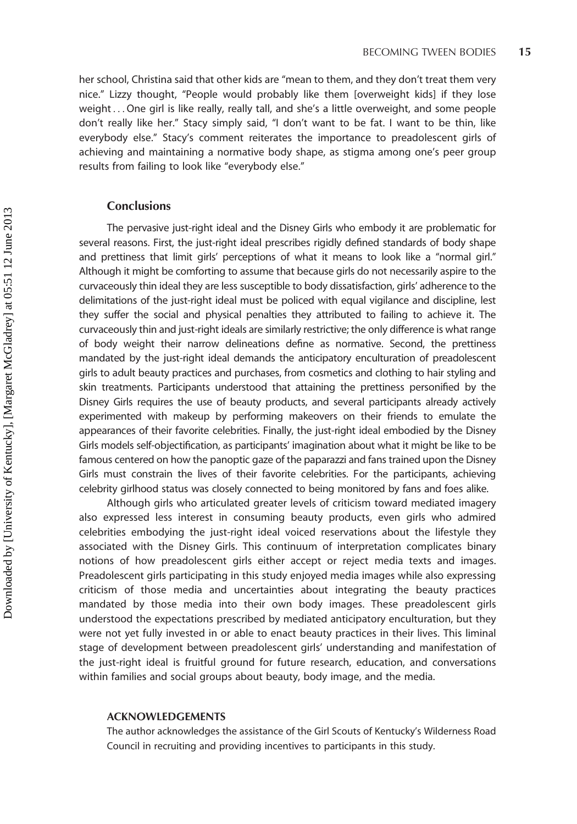her school, Christina said that other kids are "mean to them, and they don't treat them very nice." Lizzy thought, "People would probably like them [overweight kids] if they lose weight...One girl is like really, really tall, and she's a little overweight, and some people don't really like her." Stacy simply said, "I don't want to be fat. I want to be thin, like everybody else." Stacy's comment reiterates the importance to preadolescent girls of achieving and maintaining a normative body shape, as stigma among one's peer group results from failing to look like "everybody else."

## **Conclusions**

The pervasive just-right ideal and the Disney Girls who embody it are problematic for several reasons. First, the just-right ideal prescribes rigidly defined standards of body shape and prettiness that limit girls' perceptions of what it means to look like a "normal girl." Although it might be comforting to assume that because girls do not necessarily aspire to the curvaceously thin ideal they are less susceptible to body dissatisfaction, girls' adherence to the delimitations of the just-right ideal must be policed with equal vigilance and discipline, lest they suffer the social and physical penalties they attributed to failing to achieve it. The curvaceously thin and just-right ideals are similarly restrictive; the only difference is what range of body weight their narrow delineations define as normative. Second, the prettiness mandated by the just-right ideal demands the anticipatory enculturation of preadolescent girls to adult beauty practices and purchases, from cosmetics and clothing to hair styling and skin treatments. Participants understood that attaining the prettiness personified by the Disney Girls requires the use of beauty products, and several participants already actively experimented with makeup by performing makeovers on their friends to emulate the appearances of their favorite celebrities. Finally, the just-right ideal embodied by the Disney Girls models self-objectification, as participants' imagination about what it might be like to be famous centered on how the panoptic gaze of the paparazzi and fans trained upon the Disney Girls must constrain the lives of their favorite celebrities. For the participants, achieving celebrity girlhood status was closely connected to being monitored by fans and foes alike.

Although girls who articulated greater levels of criticism toward mediated imagery also expressed less interest in consuming beauty products, even girls who admired celebrities embodying the just-right ideal voiced reservations about the lifestyle they associated with the Disney Girls. This continuum of interpretation complicates binary notions of how preadolescent girls either accept or reject media texts and images. Preadolescent girls participating in this study enjoyed media images while also expressing criticism of those media and uncertainties about integrating the beauty practices mandated by those media into their own body images. These preadolescent girls understood the expectations prescribed by mediated anticipatory enculturation, but they were not yet fully invested in or able to enact beauty practices in their lives. This liminal stage of development between preadolescent girls' understanding and manifestation of the just-right ideal is fruitful ground for future research, education, and conversations within families and social groups about beauty, body image, and the media.

#### ACKNOWLEDGEMENTS

The author acknowledges the assistance of the Girl Scouts of Kentucky's Wilderness Road Council in recruiting and providing incentives to participants in this study.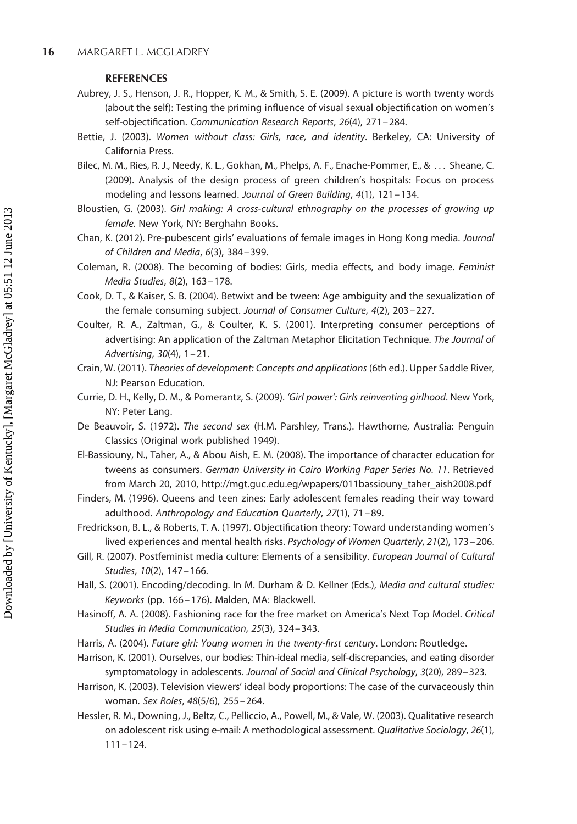#### **REFERENCES**

- Aubrey, J. S., Henson, J. R., Hopper, K. M., & Smith, S. E. (2009). A picture is worth twenty words (about the self): Testing the priming influence of visual sexual objectification on women's self-objectification. Communication Research Reports, 26(4), 271–284.
- Bettie, J. (2003). Women without class: Girls, race, and identity. Berkeley, CA: University of California Press.
- Bilec, M. M., Ries, R. J., Needy, K. L., Gokhan, M., Phelps, A. F., Enache-Pommer, E., & ... Sheane, C. (2009). Analysis of the design process of green children's hospitals: Focus on process modeling and lessons learned. Journal of Green Building, 4(1), 121–134.
- Bloustien, G. (2003). Girl making: A cross-cultural ethnography on the processes of growing up female. New York, NY: Berghahn Books.
- Chan, K. (2012). Pre-pubescent girls' evaluations of female images in Hong Kong media. Journal of Children and Media, 6(3), 384–399.
- Coleman, R. (2008). The becoming of bodies: Girls, media effects, and body image. Feminist Media Studies, 8(2), 163–178.
- Cook, D. T., & Kaiser, S. B. (2004). Betwixt and be tween: Age ambiguity and the sexualization of the female consuming subject. Journal of Consumer Culture, 4(2), 203–227.
- Coulter, R. A., Zaltman, G., & Coulter, K. S. (2001). Interpreting consumer perceptions of advertising: An application of the Zaltman Metaphor Elicitation Technique. The Journal of Advertising, 30(4), 1–21.
- Crain, W. (2011). Theories of development: Concepts and applications (6th ed.). Upper Saddle River, NJ: Pearson Education.
- Currie, D. H., Kelly, D. M., & Pomerantz, S. (2009). 'Girl power': Girls reinventing girlhood. New York, NY: Peter Lang.
- De Beauvoir, S. (1972). The second sex (H.M. Parshley, Trans.). Hawthorne, Australia: Penguin Classics (Original work published 1949).
- El-Bassiouny, N., Taher, A., & Abou Aish, E. M. (2008). The importance of character education for tweens as consumers. German University in Cairo Working Paper Series No. 11. Retrieved from March 20, 2010, [http://mgt.guc.edu.eg/wpapers/011bassiouny\\_taher\\_aish2008.pdf](http://mgt.guc.edu.eg/wpapers/011bassiouny_taher_aish2008.pdf)
- Finders, M. (1996). Queens and teen zines: Early adolescent females reading their way toward adulthood. Anthropology and Education Quarterly, 27(1), 71 –89.
- Fredrickson, B. L., & Roberts, T. A. (1997). Objectification theory: Toward understanding women's lived experiences and mental health risks. Psychology of Women Quarterly, 21(2), 173–206.
- Gill, R. (2007). Postfeminist media culture: Elements of a sensibility. European Journal of Cultural Studies, 10(2), 147–166.
- Hall, S. (2001). Encoding/decoding. In M. Durham & D. Kellner (Eds.), Media and cultural studies: Keyworks (pp. 166–176). Malden, MA: Blackwell.
- Hasinoff, A. A. (2008). Fashioning race for the free market on America's Next Top Model. Critical Studies in Media Communication, 25(3), 324–343.
- Harris, A. (2004). Future girl: Young women in the twenty-first century. London: Routledge.
- Harrison, K. (2001). Ourselves, our bodies: Thin-ideal media, self-discrepancies, and eating disorder symptomatology in adolescents. Journal of Social and Clinical Psychology, 3(20), 289–323.
- Harrison, K. (2003). Television viewers' ideal body proportions: The case of the curvaceously thin woman. Sex Roles, 48(5/6), 255–264.
- Hessler, R. M., Downing, J., Beltz, C., Pelliccio, A., Powell, M., & Vale, W. (2003). Qualitative research on adolescent risk using e-mail: A methodological assessment. Qualitative Sociology, 26(1), 111–124.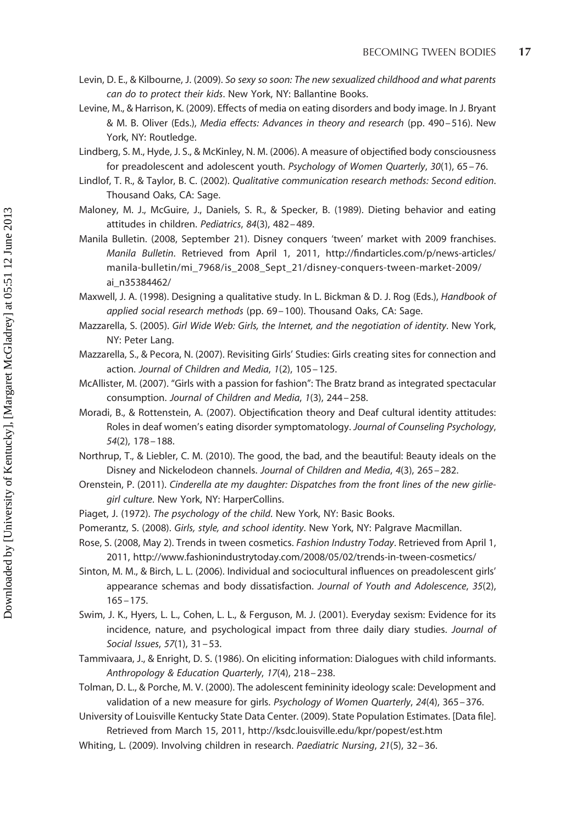- Levin, D. E., & Kilbourne, J. (2009). So sexy so soon: The new sexualized childhood and what parents can do to protect their kids. New York, NY: Ballantine Books.
- Levine, M., & Harrison, K. (2009). Effects of media on eating disorders and body image. In J. Bryant & M. B. Oliver (Eds.), Media effects: Advances in theory and research (pp. 490–516). New York, NY: Routledge.
- Lindberg, S. M., Hyde, J. S., & McKinley, N. M. (2006). A measure of objectified body consciousness for preadolescent and adolescent youth. Psychology of Women Quarterly, 30(1), 65 –76.
- Lindlof, T. R., & Taylor, B. C. (2002). Qualitative communication research methods: Second edition. Thousand Oaks, CA: Sage.
- Maloney, M. J., McGuire, J., Daniels, S. R., & Specker, B. (1989). Dieting behavior and eating attitudes in children. Pediatrics, 84(3), 482–489.
- Manila Bulletin. (2008, September 21). Disney conquers 'tween' market with 2009 franchises. Manila Bulletin. Retrieved from April 1, 2011, [http://findarticles.com/p/news-articles/](http://findarticles.com/p/news-articles/manila-bulletin/mi_7968/is_2008_Sept_21/disney-conquers-tween-market-2009/ai_n35384462/) [manila-bulletin/mi\\_7968/is\\_2008\\_Sept\\_21/disney-conquers-tween-market-2009/](http://findarticles.com/p/news-articles/manila-bulletin/mi_7968/is_2008_Sept_21/disney-conquers-tween-market-2009/ai_n35384462/) [ai\\_n35384462/](http://findarticles.com/p/news-articles/manila-bulletin/mi_7968/is_2008_Sept_21/disney-conquers-tween-market-2009/ai_n35384462/)
- Maxwell, J. A. (1998). Designing a qualitative study. In L. Bickman & D. J. Rog (Eds.), Handbook of applied social research methods (pp. 69–100). Thousand Oaks, CA: Sage.
- Mazzarella, S. (2005). Girl Wide Web: Girls, the Internet, and the negotiation of identity. New York, NY: Peter Lang.
- Mazzarella, S., & Pecora, N. (2007). Revisiting Girls' Studies: Girls creating sites for connection and action. Journal of Children and Media, 1(2), 105–125.
- McAllister, M. (2007). "Girls with a passion for fashion": The Bratz brand as integrated spectacular consumption. Journal of Children and Media, 1(3), 244–258.
- Moradi, B., & Rottenstein, A. (2007). Objectification theory and Deaf cultural identity attitudes: Roles in deaf women's eating disorder symptomatology. Journal of Counseling Psychology, 54(2), 178–188.
- Northrup, T., & Liebler, C. M. (2010). The good, the bad, and the beautiful: Beauty ideals on the Disney and Nickelodeon channels. Journal of Children and Media, 4(3), 265–282.
- Orenstein, P. (2011). Cinderella ate my daughter: Dispatches from the front lines of the new girliegirl culture. New York, NY: HarperCollins.
- Piaget, J. (1972). The psychology of the child. New York, NY: Basic Books.
- Pomerantz, S. (2008). Girls, style, and school identity. New York, NY: Palgrave Macmillan.
- Rose, S. (2008, May 2). Trends in tween cosmetics. Fashion Industry Today. Retrieved from April 1, 2011,<http://www.fashionindustrytoday.com/2008/05/02/trends-in-tween-cosmetics/>
- Sinton, M. M., & Birch, L. L. (2006). Individual and sociocultural influences on preadolescent girls' appearance schemas and body dissatisfaction. Journal of Youth and Adolescence, 35(2), 165–175.
- Swim, J. K., Hyers, L. L., Cohen, L. L., & Ferguson, M. J. (2001). Everyday sexism: Evidence for its incidence, nature, and psychological impact from three daily diary studies. Journal of Social Issues, 57(1), 31–53.
- Tammivaara, J., & Enright, D. S. (1986). On eliciting information: Dialogues with child informants. Anthropology & Education Quarterly, 17(4), 218–238.
- Tolman, D. L., & Porche, M. V. (2000). The adolescent femininity ideology scale: Development and validation of a new measure for girls. Psychology of Women Quarterly, 24(4), 365–376.
- University of Louisville Kentucky State Data Center. (2009). State Population Estimates. [Data file]. Retrieved from March 15, 2011,<http://ksdc.louisville.edu/kpr/popest/est.htm>
- Whiting, L. (2009). Involving children in research. Paediatric Nursing, 21(5), 32–36.